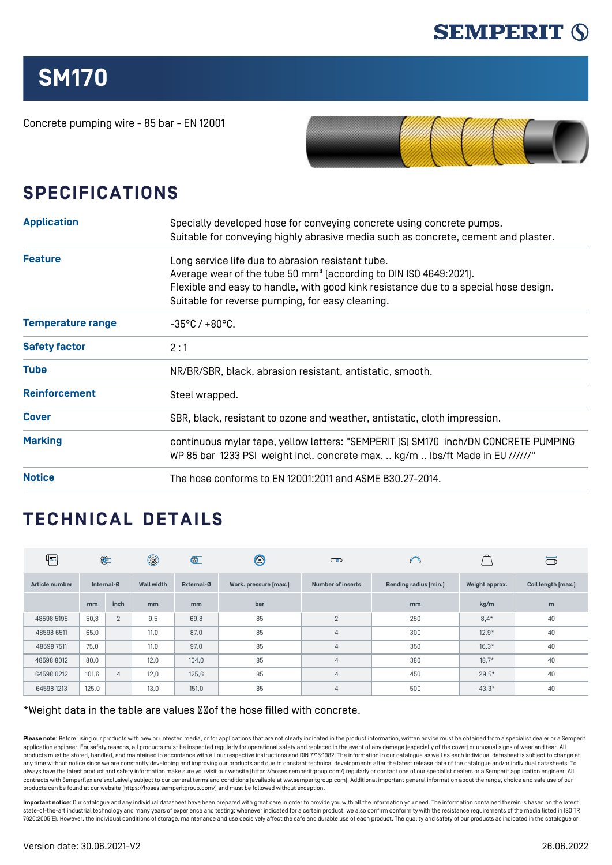

## **SM170**

Concrete pumping wire - 85 bar - EN 12001



## **SPECIFICATIONS**

| <b>Application</b>       | Specially developed hose for conveying concrete using concrete pumps.<br>Suitable for conveying highly abrasive media such as concrete, cement and plaster.                                                                                                                    |  |  |  |  |  |
|--------------------------|--------------------------------------------------------------------------------------------------------------------------------------------------------------------------------------------------------------------------------------------------------------------------------|--|--|--|--|--|
| <b>Feature</b>           | Long service life due to abrasion resistant tube.<br>Average wear of the tube 50 mm <sup>3</sup> (according to DIN ISO 4649:2021).<br>Flexible and easy to handle, with good kink resistance due to a special hose design.<br>Suitable for reverse pumping, for easy cleaning. |  |  |  |  |  |
| <b>Temperature range</b> | $-35^{\circ}$ C / $+80^{\circ}$ C.                                                                                                                                                                                                                                             |  |  |  |  |  |
| <b>Safety factor</b>     | 2:1                                                                                                                                                                                                                                                                            |  |  |  |  |  |
| <b>Tube</b>              | NR/BR/SBR, black, abrasion resistant, antistatic, smooth.                                                                                                                                                                                                                      |  |  |  |  |  |
| <b>Reinforcement</b>     | Steel wrapped.                                                                                                                                                                                                                                                                 |  |  |  |  |  |
| <b>Cover</b>             | SBR, black, resistant to ozone and weather, antistatic, cloth impression.                                                                                                                                                                                                      |  |  |  |  |  |
| <b>Marking</b>           | continuous mylar tape, yellow letters: "SEMPERIT [S] SM170 inch/DN CONCRETE PUMPING<br>WP 85 bar 1233 PSI weight incl. concrete max.  kg/m  lbs/ft Made in EU //////"                                                                                                          |  |  |  |  |  |
| <b>Notice</b>            | The hose conforms to EN 12001:2011 and ASME B30.27-2014.                                                                                                                                                                                                                       |  |  |  |  |  |

## **TECHNICAL DETAILS**

| ⋐              | $\circledcirc$ |                | $^{\circledR}$    | $\circledcirc$ | $\circledS$           | $\bigcirc$               | $\bigcap$             |                | $\Box$             |
|----------------|----------------|----------------|-------------------|----------------|-----------------------|--------------------------|-----------------------|----------------|--------------------|
| Article number | Internal-Ø     |                | <b>Wall width</b> | External-Ø     | Work. pressure [max.] | <b>Number of inserts</b> | Bending radius [min.] | Weight approx. | Coil length [max.] |
|                | mm             | inch           | m <sub>m</sub>    | mm             | bar                   |                          | mm                    | kg/m           | m                  |
| 48598 5195     | 50,8           | 2              | 9,5               | 69,8           | 85                    | 2                        | 250                   | $8,4*$         | 40                 |
| 48598 6511     | 65,0           |                | 11.0              | 87,0           | 85                    | $\overline{4}$           | 300                   | $12.9*$        | 40                 |
| 48598 7511     | 75,0           |                | 11,0              | 97,0           | 85                    | $\overline{4}$           | 350                   | $16,3*$        | 40                 |
| 48598 8012     | 80,0           |                | 12,0              | 104,0          | 85                    | $\overline{4}$           | 380                   | $18,7*$        | 40                 |
| 64598 0212     | 101,6          | $\overline{4}$ | 12,0              | 125,6          | 85                    | $\overline{4}$           | 450                   | $29.5*$        | 40                 |
| 64598 1213     | 125,0          |                | 13,0              | 151,0          | 85                    | $\overline{4}$           | 500                   | $43,3*$        | 40                 |

## \*Weight data in the table are values **Moof** the hose filled with concrete.

Please note: Before using our products with new or untested media, or for applications that are not clearly indicated in the product information, written advice must be obtained from a specialist dealer or a Semperity application engineer. For safety reasons, all products must be inspected regularly for operational safety and replaced in the event of any damage (especially of the cover) or unusual signs of wear and tear. All products must be stored, handled, and maintained in accordance with all our respective instructions and DIN 7716:1982. The information in our catalogue as well as each individual datasheet is subject to change at any time without notice since we are constantly developing and improving our products and due to constant technical developments after the latest release date of the catalogue and/or individual datasheets. To always have the latest product and safety information make sure you visit our website ([https://hoses.semperitgroup.com/\)](https://hoses.semperitgroup.com/) regularly or contact one of our specialist dealers or a Semperit application engineer. All contracts with Semperflex are exclusively subject to our general terms and conditions (available at ww.semperitgroup.com). Additional important general information about the range, choice and safe use of our products can be found at our website (<https://hoses.semperitgroup.com/>) and must be followed without exception.

**Important notice**: Our catalogue and any individual datasheet have been prepared with great care in order to provide you with all the information you need. The information contained therein is based on the latest state-of-the-art industrial technology and many years of experience and testing; whenever indicated for a certain product, we also confirm conformity with the resistance requirements of the media listed in ISO TR 7620:2005(E). However, the individual conditions of storage, maintenance and use decisively affect the safe and durable use of each product. The quality and safety of our products as indicated in the catalogue or